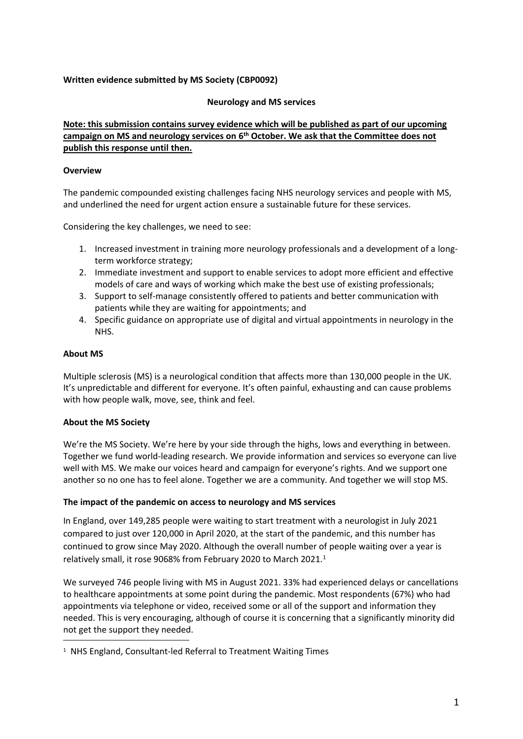# **Written evidence submitted by MS Society (CBP0092)**

### **Neurology and MS services**

# **Note: this submission contains survey evidence which will be published as part of our upcoming campaign on MS and neurology services on 6 th October. We ask that the Committee does not publish this response until then.**

### **Overview**

The pandemic compounded existing challenges facing NHS neurology services and people with MS, and underlined the need for urgent action ensure a sustainable future for these services.

Considering the key challenges, we need to see:

- 1. Increased investment in training more neurology professionals and a development of a longterm workforce strategy;
- 2. Immediate investment and support to enable services to adopt more efficient and effective models of care and ways of working which make the best use of existing professionals;
- 3. Support to self-manage consistently offered to patients and better communication with patients while they are waiting for appointments; and
- 4. Specific guidance on appropriate use of digital and virtual appointments in neurology in the NHS.

### **About MS**

Multiple sclerosis (MS) is a neurological condition that affects more than 130,000 people in the UK. It's unpredictable and different for everyone. It's often painful, exhausting and can cause problems with how people walk, move, see, think and feel.

# **About the MS Society**

We're the MS Society. We're here by your side through the highs, lows and everything in between. Together we fund world-leading research. We provide information and services so everyone can live well with MS. We make our voices heard and campaign for everyone's rights. And we support one another so no one has to feel alone. Together we are a community. And together we will stop MS.

#### **The impact of the pandemic on access to neurology and MS services**

In England, over 149,285 people were waiting to start treatment with a neurologist in July 2021 compared to just over 120,000 in April 2020, at the start of the pandemic, and this number has continued to grow since May 2020. Although the overall number of people waiting over a year is relatively small, it rose 9068% from February 2020 to March 2021.<sup>1</sup>

We surveyed 746 people living with MS in August 2021. 33% had experienced delays or cancellations to healthcare appointments at some point during the pandemic. Most respondents (67%) who had appointments via telephone or video, received some or all of the support and information they needed. This is very encouraging, although of course it is concerning that a significantly minority did not get the support they needed.

<sup>&</sup>lt;sup>1</sup> NHS England, Consultant-led Referral to Treatment Waiting Times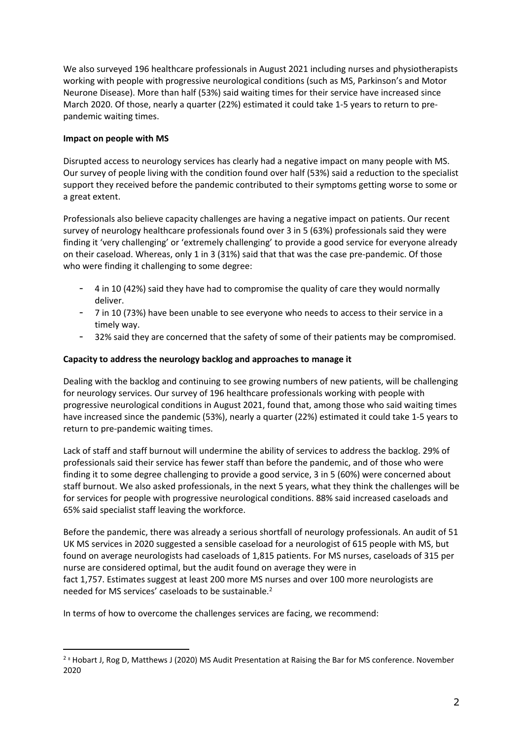We also surveyed 196 healthcare professionals in August 2021 including nurses and physiotherapists working with people with progressive neurological conditions (such as MS, Parkinson's and Motor Neurone Disease). More than half (53%) said waiting times for their service have increased since March 2020. Of those, nearly a quarter (22%) estimated it could take 1-5 years to return to prepandemic waiting times.

# **Impact on people with MS**

Disrupted access to neurology services has clearly had a negative impact on many people with MS. Our survey of people living with the condition found over half (53%) said a reduction to the specialist support they received before the pandemic contributed to their symptoms getting worse to some or a great extent.

Professionals also believe capacity challenges are having a negative impact on patients. Our recent survey of neurology healthcare professionals found over 3 in 5 (63%) professionals said they were finding it 'very challenging' or 'extremely challenging' to provide a good service for everyone already on their caseload. Whereas, only 1 in 3 (31%) said that that was the case pre-pandemic. Of those who were finding it challenging to some degree:

- 4 in 10 (42%) said they have had to compromise the quality of care they would normally deliver.
- 7 in 10 (73%) have been unable to see everyone who needs to access to their service in a timely way.
- 32% said they are concerned that the safety of some of their patients may be compromised.

### **Capacity to address the neurology backlog and approaches to manage it**

Dealing with the backlog and continuing to see growing numbers of new patients, will be challenging for neurology services. Our survey of 196 healthcare professionals working with people with progressive neurological conditions in August 2021, found that, among those who said waiting times have increased since the pandemic (53%), nearly a quarter (22%) estimated it could take 1-5 years to return to pre-pandemic waiting times.

Lack of staff and staff burnout will undermine the ability of services to address the backlog. 29% of professionals said their service has fewer staff than before the pandemic, and of those who were finding it to some degree challenging to provide a good service, 3 in 5 (60%) were concerned about staff burnout. We also asked professionals, in the next 5 years, what they think the challenges will be for services for people with progressive neurological conditions. 88% said increased caseloads and 65% said specialist staff leaving the workforce.

Before the pandemic, there was already a serious shortfall of neurology professionals. An audit of 51 UK MS services in 2020 suggested a sensible caseload for a neurologist of 615 people with MS, but found on average neurologists had caseloads of 1,815 patients. For MS nurses, caseloads of 315 per nurse are considered optimal, but the audit found on average they were in

fact 1,757. Estimates suggest at least 200 more MS nurses and over 100 more neurologists are needed for MS services' caseloads to be sustainable.<sup>2</sup>

In terms of how to overcome the challenges services are facing, we recommend:

<sup>&</sup>lt;sup>2</sup><sup>8</sup> Hobart J, Rog D, Matthews J (2020) MS Audit Presentation at Raising the Bar for MS conference. November 2020